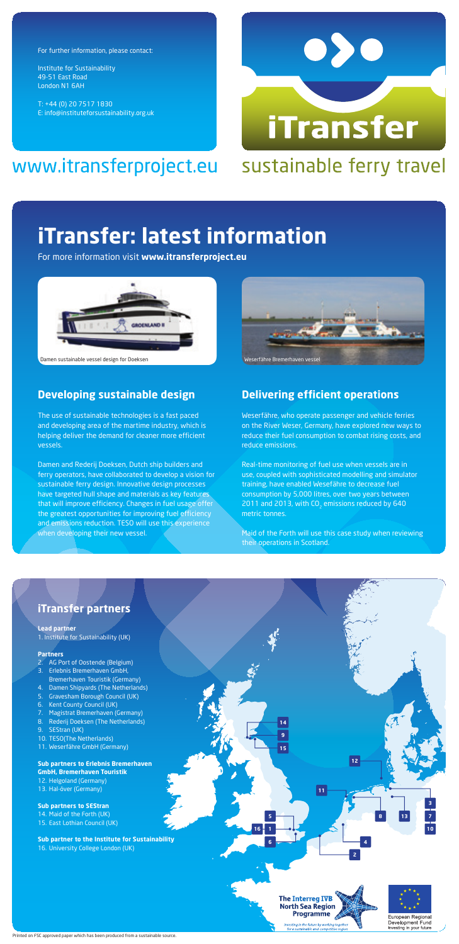For further information, please contact:

Institute for Sustainability 49-51 East Road London N1 6AH

T: +44 (0) 20 7517 1830 E: info@instituteforsustainability.org.uk

# www.itransferproject.eu sustainable ferry travel



# **iTransfer: latest information**

For more information visit **www.itransferproject.eu**



#### Damen sustainable vessel design for Doeksen Weserfähre Bremerhaven vestellt auch auf der Bremerhaven vestellt

# **Developing sustainable design**

The use of sustainable technologies is a fast paced and developing area of the martime industry, which is helping deliver the demand for cleaner more efficient vessels.

Damen and Rederij Doeksen, Dutch ship builders and ferry operators, have collaborated to develop a vision for sustainable ferry design. Innovative design processes have targeted hull shape and materials as key features that will improve efficiency. Changes in fuel usage offer the greatest opportunities for improving fuel efficiency and emissions reduction. TESO will use this experience when developing their new vessel.



# **Delivering efficient operations**

Weserfähre, who operate passenger and vehicle ferries on the River Weser, Germany, have explored new ways to reduce their fuel consumption to combat rising costs, and reduce emissions.

Real-time monitoring of fuel use when vessels are in use, coupled with sophisticated modelling and simulator training, have enabled Wesefähre to decrease fuel consumption by 5,000 litres, over two years between 2011 and 2013, with CO<sub>2</sub> emissions reduced by 640 metric tonnes.

Maid of the Forth will use this case study when reviewing their operations in Scotland.

## **iTransfer partners**

## **Lead partner**

1. Institute for Sustainability (UK)

#### **Partners**

- AG Port of Oostende (Belgium) 3. Erlebnis Bremerhaven GmbH,
- Bremerhaven Touristik (Germany)
- 4. Damen Shipyards (The Netherlands)
- 5. Gravesham Borough Council (UK)
- 6. Kent County Council (UK)
- 7. Magistrat Bremerhaven (Germany)
- 8. Rederij Doeksen (The Netherlands)
- 9. SEStran (UK)
- 10. TESO(The Netherlands) 11. Weserfähre GmbH (Germany)

#### **Sub partners to Erlebnis Bremerhaven GmbH, Bremerhaven Touristik** 12. Helgoland (Germany)

13. Hal-över (Germany)

**Sub partners to SEStran** 14. Maid of the Forth (UK) 15. East Lothian Council (UK)

**Sub partner to the Institute for Sustainability** 16. University College London (UK)



Programme

vesting in the future by wor<br>for a sustainable and comp

European Regional Development Fund

Investing in your future